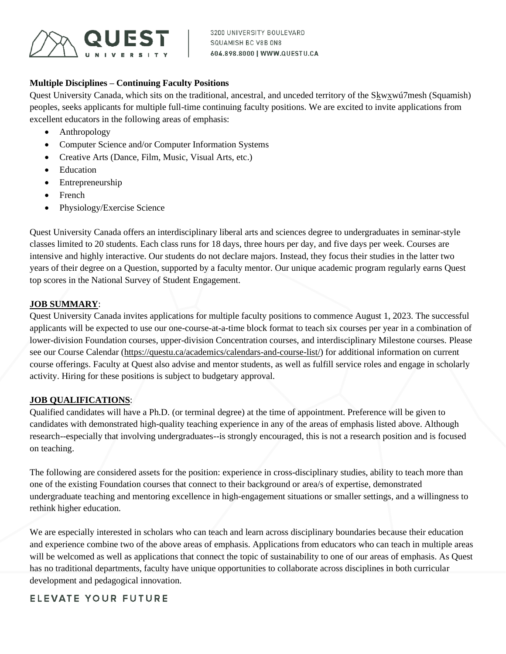

## **Multiple Disciplines – Continuing Faculty Positions**

Quest University Canada, which sits on the traditional, ancestral, and unceded territory of the Skwxwú7mesh (Squamish) peoples, seeks applicants for multiple full-time continuing faculty positions. We are excited to invite applications from excellent educators in the following areas of emphasis:

- Anthropology
- Computer Science and/or Computer Information Systems
- Creative Arts (Dance, Film, Music, Visual Arts, etc.)
- Education
- Entrepreneurship
- French
- Physiology/Exercise Science

Quest University Canada offers an interdisciplinary liberal arts and sciences degree to undergraduates in seminar-style classes limited to 20 students. Each class runs for 18 days, three hours per day, and five days per week. Courses are intensive and highly interactive. Our students do not declare majors. Instead, they focus their studies in the latter two years of their degree on a Question, supported by a faculty mentor. Our unique academic program regularly earns Quest top scores in the National Survey of Student Engagement.

## **JOB SUMMARY**:

Quest University Canada invites applications for multiple faculty positions to commence August 1, 2023. The successful applicants will be expected to use our one-course-at-a-time block format to teach six courses per year in a combination of lower-division Foundation courses, upper-division Concentration courses, and interdisciplinary Milestone courses. Please see our Course Calendar [\(https://questu.ca/academics/calendars-and-course-list/\)](https://questu.ca/academics/calendars-and-course-list/) for additional information on current course offerings. Faculty at Quest also advise and mentor students, as well as fulfill service roles and engage in scholarly activity. Hiring for these positions is subject to budgetary approval.

## **JOB QUALIFICATIONS**:

Qualified candidates will have a Ph.D. (or terminal degree) at the time of appointment. Preference will be given to candidates with demonstrated high-quality teaching experience in any of the areas of emphasis listed above. Although research--especially that involving undergraduates--is strongly encouraged, this is not a research position and is focused on teaching.

The following are considered assets for the position: experience in cross-disciplinary studies, ability to teach more than one of the existing Foundation courses that connect to their background or area/s of expertise, demonstrated undergraduate teaching and mentoring excellence in high-engagement situations or smaller settings, and a willingness to rethink higher education.

We are especially interested in scholars who can teach and learn across disciplinary boundaries because their education and experience combine two of the above areas of emphasis. Applications from educators who can teach in multiple areas will be welcomed as well as applications that connect the topic of sustainability to one of our areas of emphasis. As Quest has no traditional departments, faculty have unique opportunities to collaborate across disciplines in both curricular development and pedagogical innovation.

**ELEVATE YOUR FUTURE**